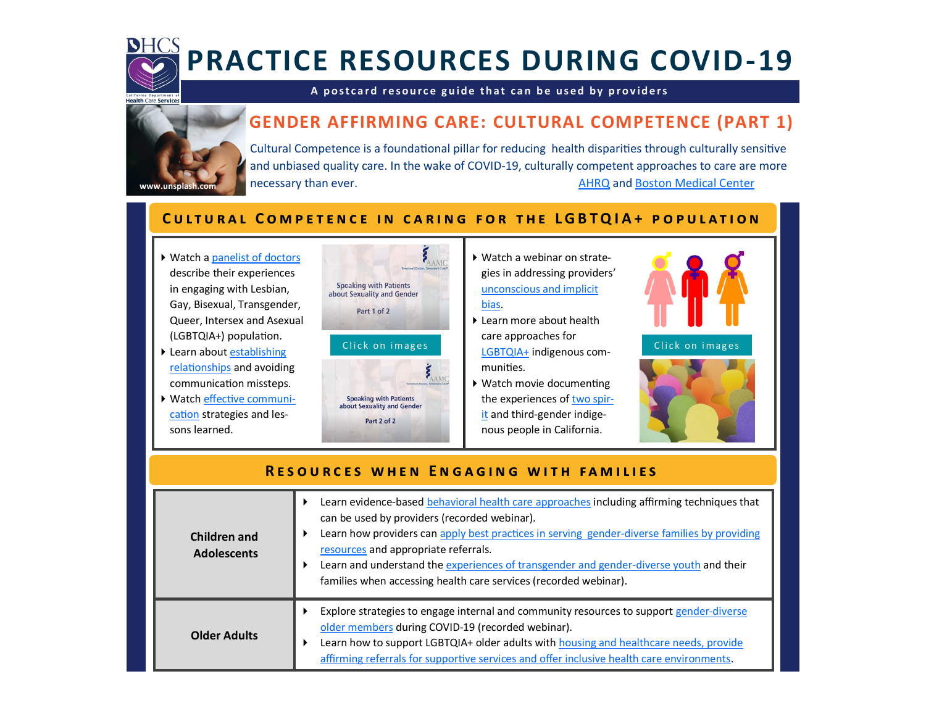

# **PRACTICE RESOURCES DURING COVID-19**

#### A postcard resource guide that can be used by providers **that**

# **GENDER AFFIRMING CARE: CULTURAL COMPETENCE (PART 1)**



 Cultural Competence is a foundational pillar for reducing health disparities through culturally sensitive and unbiased quality care. In the wake of COVID-19, culturally competent approaches to care are more necessary than ever. [AHRQ](https://effectivehealthcare.ahrq.gov/products/cultural-competence/research-protocol) and Boston [Medical](https://healthcity.bmc.org/population-health/culturally-competent-healthcare-lessons-covid-19) Center.

### **CULTURAL COMPETENCE IN CARING FOR THE LGBTQIA+ POPULATION**

- ▶ Watch a [panelist of](https://www.youtube.com/watch?v=ALRDdVFptPY) doctors describe their experiences in engaging with Lesbian, Gay, Bisexual, Transgender, Queer, Intersex and Asexual (LGBTQIA+) population.
- ▶ Learn about [establishing](https://www.youtube.com/watch?v=slpgUr9Zdr8) [relationships](https://www.youtube.com/watch?v=slpgUr9Zdr8) and avoiding communication missteps.
- [cation](https://www.youtube.com/watch?v=ALRDdVFptPY) strategies and les-Watch effective [communi](https://www.youtube.com/watch?v=ALRDdVFptPY)sons learned.



- Watch a webinar on strategies in addressing providers' [unconscious](https://www.lgbtqiahealtheducation.org/courses/addressing-unconcious-and-implicit-bias-2021/lessons/recorded-webinar-addressing-unconcious-and-implicit-bias/) and implicit [bias.](https://www.lgbtqiahealtheducation.org/courses/addressing-unconcious-and-implicit-bias-2021/lessons/recorded-webinar-addressing-unconcious-and-implicit-bias/)
- ▶ Learn more about health care approaches for [LGBTQIA+](https://www.lgbtqiahealtheducation.org/wp-content/uploads/2022/01/TFIAP-59_-Health-Care-Considerations-for-Two-Spirit-and-LGBTQIA-Indigenous-Communities_Final.pdf) indigenous communities.
- Watch movie documenting the experiences of two [spir](https://kanyonkonsulting.com/two-spirit-queer-california/)[it](https://kanyonkonsulting.com/two-spirit-queer-california/) and third-gender indigenous people in California.



Click on images



### **RESOURCES WHEN ENGAGING WITH FAMILIES**

| Children and<br><b>Adolescents</b> | Learn evidence-based behavioral health care approaches including affirming techniques that<br>can be used by providers (recorded webinar).<br>Learn how providers can apply best practices in serving gender-diverse families by providing<br>resources and appropriate referrals.<br>Learn and understand the experiences of transgender and gender-diverse youth and their<br>families when accessing health care services (recorded webinar). |
|------------------------------------|--------------------------------------------------------------------------------------------------------------------------------------------------------------------------------------------------------------------------------------------------------------------------------------------------------------------------------------------------------------------------------------------------------------------------------------------------|
| Older Adults                       | Explore strategies to engage internal and community resources to support gender-diverse<br>older members during COVID-19 (recorded webinar).<br>Learn how to support LGBTQIA+ older adults with housing and healthcare needs, provide<br>affirming referrals for supportive services and offer inclusive health care environments.                                                                                                               |